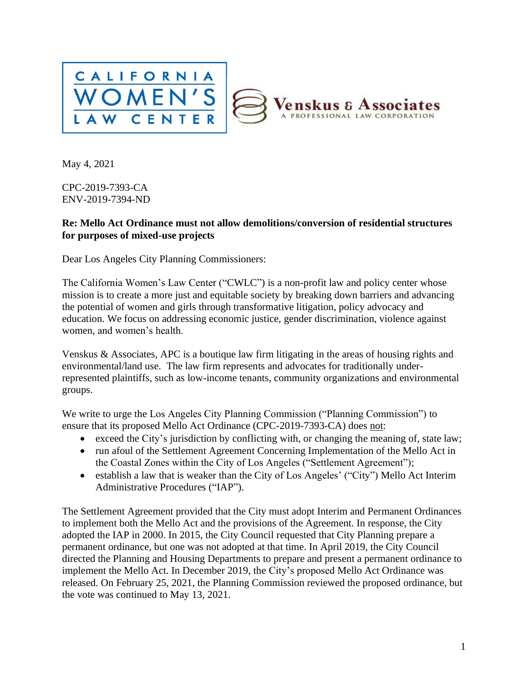

May 4, 2021

CPC-2019-7393-CA ENV-2019-7394-ND

#### **Re: Mello Act Ordinance must not allow demolitions/conversion of residential structures for purposes of mixed-use projects**

Dear Los Angeles City Planning Commissioners:

The California Women's Law Center ("CWLC") is a non-profit law and policy center whose mission is to create a more just and equitable society by breaking down barriers and advancing the potential of women and girls through transformative litigation, policy advocacy and education. We focus on addressing economic justice, gender discrimination, violence against women, and women's health.

Venskus & Associates, APC is a boutique law firm litigating in the areas of housing rights and environmental/land use. The law firm represents and advocates for traditionally underrepresented plaintiffs, such as low-income tenants, community organizations and environmental groups.

We write to urge the Los Angeles City Planning Commission ("Planning Commission") to ensure that its proposed Mello Act Ordinance (CPC-2019-7393-CA) does not:

- exceed the City's jurisdiction by conflicting with, or changing the meaning of, state law;
- run afoul of the Settlement Agreement Concerning Implementation of the Mello Act in the Coastal Zones within the City of Los Angeles ("Settlement Agreement");
- establish a law that is weaker than the City of Los Angeles' ("City") Mello Act Interim Administrative Procedures ("IAP").

The Settlement Agreement provided that the City must adopt Interim and Permanent Ordinances to implement both the Mello Act and the provisions of the Agreement. In response, the City adopted the IAP in 2000. In 2015, the City Council requested that City Planning prepare a permanent ordinance, but one was not adopted at that time. In April 2019, the City Council directed the Planning and Housing Departments to prepare and present a permanent ordinance to implement the Mello Act. In December 2019, the City's proposed Mello Act Ordinance was released. On February 25, 2021, the Planning Commission reviewed the proposed ordinance, but the vote was continued to May 13, 2021.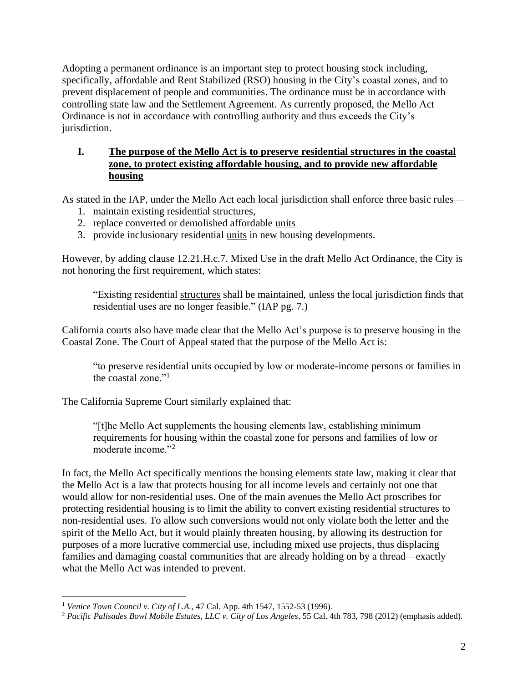Adopting a permanent ordinance is an important step to protect housing stock including, specifically, affordable and Rent Stabilized (RSO) housing in the City's coastal zones, and to prevent displacement of people and communities. The ordinance must be in accordance with controlling state law and the Settlement Agreement. As currently proposed, the Mello Act Ordinance is not in accordance with controlling authority and thus exceeds the City's jurisdiction.

### **I. The purpose of the Mello Act is to preserve residential structures in the coastal zone, to protect existing affordable housing, and to provide new affordable housing**

As stated in the IAP, under the Mello Act each local jurisdiction shall enforce three basic rules—

- 1. maintain existing residential structures,
- 2. replace converted or demolished affordable units
- 3. provide inclusionary residential units in new housing developments.

However, by adding clause 12.21.H.c.7. Mixed Use in the draft Mello Act Ordinance, the City is not honoring the first requirement, which states:

"Existing residential structures shall be maintained, unless the local jurisdiction finds that residential uses are no longer feasible." (IAP pg. 7.)

California courts also have made clear that the Mello Act's purpose is to preserve housing in the Coastal Zone. The Court of Appeal stated that the purpose of the Mello Act is:

"to preserve residential units occupied by low or moderate-income persons or families in the coastal zone."<sup>1</sup>

The California Supreme Court similarly explained that:

"[t]he Mello Act supplements the housing elements law, establishing minimum requirements for housing within the coastal zone for persons and families of low or moderate income."<sup>2</sup>

In fact, the Mello Act specifically mentions the housing elements state law, making it clear that the Mello Act is a law that protects housing for all income levels and certainly not one that would allow for non-residential uses. One of the main avenues the Mello Act proscribes for protecting residential housing is to limit the ability to convert existing residential structures to non-residential uses. To allow such conversions would not only violate both the letter and the spirit of the Mello Act, but it would plainly threaten housing, by allowing its destruction for purposes of a more lucrative commercial use, including mixed use projects, thus displacing families and damaging coastal communities that are already holding on by a thread—exactly what the Mello Act was intended to prevent.

<sup>1</sup> *Venice Town Council v. City of L.A.*, 47 Cal. App. 4th 1547, 1552-53 (1996).

<sup>2</sup> *Pacific Palisades Bowl Mobile Estates, LLC v. City of Los Angeles*, 55 Cal. 4th 783, 798 (2012) (emphasis added).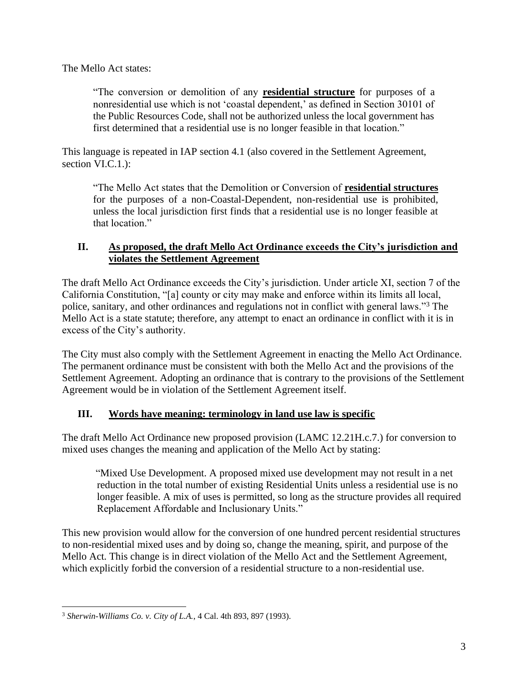The Mello Act states:

"The conversion or demolition of any **residential structure** for purposes of a nonresidential use which is not 'coastal dependent,' as defined in Section 30101 of the Public Resources Code, shall not be authorized unless the local government has first determined that a residential use is no longer feasible in that location."

This language is repeated in IAP section 4.1 (also covered in the Settlement Agreement, section VI.C.1.):

"The Mello Act states that the Demolition or Conversion of **residential structures** for the purposes of a non-Coastal-Dependent, non-residential use is prohibited, unless the local jurisdiction first finds that a residential use is no longer feasible at that location."

### **II. As proposed, the draft Mello Act Ordinance exceeds the City's jurisdiction and violates the Settlement Agreement**

The draft Mello Act Ordinance exceeds the City's jurisdiction. Under article XI, section 7 of the California Constitution, "[a] county or city may make and enforce within its limits all local, police, sanitary, and other ordinances and regulations not in conflict with general laws."<sup>3</sup> The Mello Act is a state statute; therefore, any attempt to enact an ordinance in conflict with it is in excess of the City's authority.

The City must also comply with the Settlement Agreement in enacting the Mello Act Ordinance. The permanent ordinance must be consistent with both the Mello Act and the provisions of the Settlement Agreement. Adopting an ordinance that is contrary to the provisions of the Settlement Agreement would be in violation of the Settlement Agreement itself.

## **III. Words have meaning: terminology in land use law is specific**

The draft Mello Act Ordinance new proposed provision (LAMC 12.21H.c.7.) for conversion to mixed uses changes the meaning and application of the Mello Act by stating:

"Mixed Use Development. A proposed mixed use development may not result in a net reduction in the total number of existing Residential Units unless a residential use is no longer feasible. A mix of uses is permitted, so long as the structure provides all required Replacement Affordable and Inclusionary Units."

This new provision would allow for the conversion of one hundred percent residential structures to non-residential mixed uses and by doing so, change the meaning, spirit, and purpose of the Mello Act. This change is in direct violation of the Mello Act and the Settlement Agreement, which explicitly forbid the conversion of a residential structure to a non-residential use.

<sup>3</sup> *Sherwin-Williams Co. v. City of L.A.*, 4 Cal. 4th 893, 897 (1993).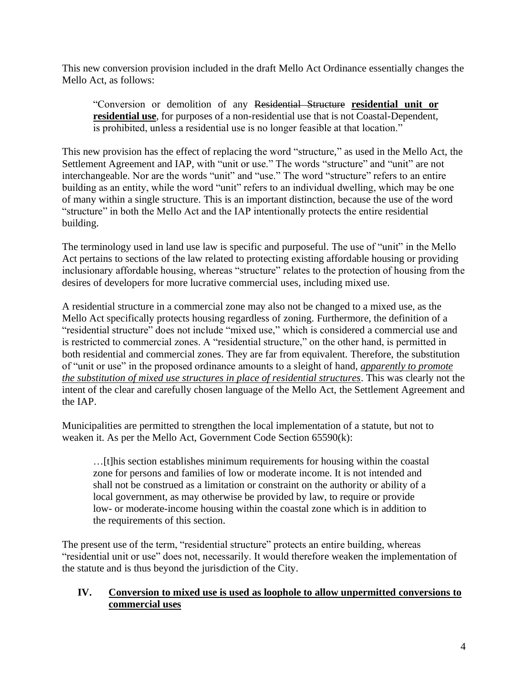This new conversion provision included in the draft Mello Act Ordinance essentially changes the Mello Act, as follows:

"Conversion or demolition of any Residential Structure **residential unit or residential use**, for purposes of a non-residential use that is not Coastal-Dependent, is prohibited, unless a residential use is no longer feasible at that location."

This new provision has the effect of replacing the word "structure," as used in the Mello Act, the Settlement Agreement and IAP, with "unit or use." The words "structure" and "unit" are not interchangeable. Nor are the words "unit" and "use." The word "structure" refers to an entire building as an entity, while the word "unit" refers to an individual dwelling, which may be one of many within a single structure. This is an important distinction, because the use of the word "structure" in both the Mello Act and the IAP intentionally protects the entire residential building.

The terminology used in land use law is specific and purposeful. The use of "unit" in the Mello Act pertains to sections of the law related to protecting existing affordable housing or providing inclusionary affordable housing, whereas "structure" relates to the protection of housing from the desires of developers for more lucrative commercial uses, including mixed use.

A residential structure in a commercial zone may also not be changed to a mixed use, as the Mello Act specifically protects housing regardless of zoning. Furthermore, the definition of a "residential structure" does not include "mixed use," which is considered a commercial use and is restricted to commercial zones. A "residential structure," on the other hand, is permitted in both residential and commercial zones. They are far from equivalent. Therefore, the substitution of "unit or use" in the proposed ordinance amounts to a sleight of hand, *apparently to promote the substitution of mixed use structures in place of residential structures*. This was clearly not the intent of the clear and carefully chosen language of the Mello Act, the Settlement Agreement and the IAP.

Municipalities are permitted to strengthen the local implementation of a statute, but not to weaken it. As per the Mello Act, Government Code Section 65590(k):

…[t]his section establishes minimum requirements for housing within the coastal zone for persons and families of low or moderate income. It is not intended and shall not be construed as a limitation or constraint on the authority or ability of a local government, as may otherwise be provided by law, to require or provide low- or moderate-income housing within the coastal zone which is in addition to the requirements of this section.

The present use of the term, "residential structure" protects an entire building, whereas "residential unit or use" does not, necessarily. It would therefore weaken the implementation of the statute and is thus beyond the jurisdiction of the City.

### **IV. Conversion to mixed use is used as loophole to allow unpermitted conversions to commercial uses**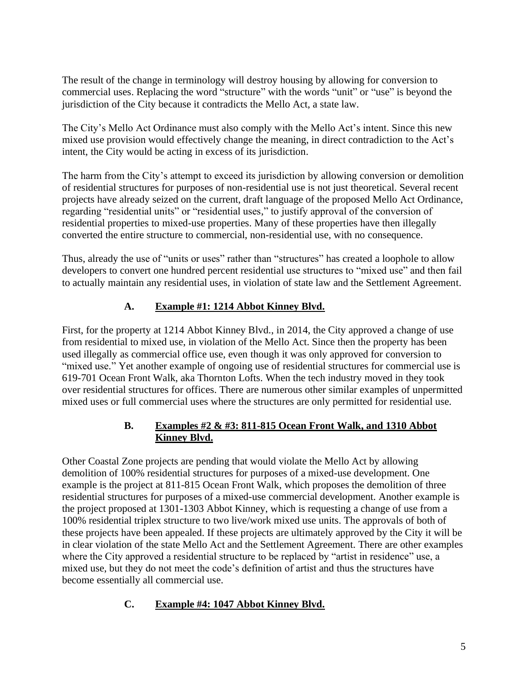The result of the change in terminology will destroy housing by allowing for conversion to commercial uses. Replacing the word "structure" with the words "unit" or "use" is beyond the jurisdiction of the City because it contradicts the Mello Act, a state law.

The City's Mello Act Ordinance must also comply with the Mello Act's intent. Since this new mixed use provision would effectively change the meaning, in direct contradiction to the Act's intent, the City would be acting in excess of its jurisdiction.

The harm from the City's attempt to exceed its jurisdiction by allowing conversion or demolition of residential structures for purposes of non-residential use is not just theoretical. Several recent projects have already seized on the current, draft language of the proposed Mello Act Ordinance, regarding "residential units" or "residential uses," to justify approval of the conversion of residential properties to mixed-use properties. Many of these properties have then illegally converted the entire structure to commercial, non-residential use, with no consequence.

Thus, already the use of "units or uses" rather than "structures" has created a loophole to allow developers to convert one hundred percent residential use structures to "mixed use" and then fail to actually maintain any residential uses, in violation of state law and the Settlement Agreement.

# **A. Example #1: 1214 Abbot Kinney Blvd.**

First, for the property at 1214 Abbot Kinney Blvd., in 2014, the City approved a change of use from residential to mixed use, in violation of the Mello Act. Since then the property has been used illegally as commercial office use, even though it was only approved for conversion to "mixed use." Yet another example of ongoing use of residential structures for commercial use is 619-701 Ocean Front Walk, aka Thornton Lofts. When the tech industry moved in they took over residential structures for offices. There are numerous other similar examples of unpermitted mixed uses or full commercial uses where the structures are only permitted for residential use.

## **B. Examples #2 & #3: 811-815 Ocean Front Walk, and 1310 Abbot Kinney Blvd.**

Other Coastal Zone projects are pending that would violate the Mello Act by allowing demolition of 100% residential structures for purposes of a mixed-use development. One example is the project at 811-815 Ocean Front Walk, which proposes the demolition of three residential structures for purposes of a mixed-use commercial development. Another example is the project proposed at 1301-1303 Abbot Kinney, which is requesting a change of use from a 100% residential triplex structure to two live/work mixed use units. The approvals of both of these projects have been appealed. If these projects are ultimately approved by the City it will be in clear violation of the state Mello Act and the Settlement Agreement. There are other examples where the City approved a residential structure to be replaced by "artist in residence" use, a mixed use, but they do not meet the code's definition of artist and thus the structures have become essentially all commercial use.

## **C. Example #4: 1047 Abbot Kinney Blvd.**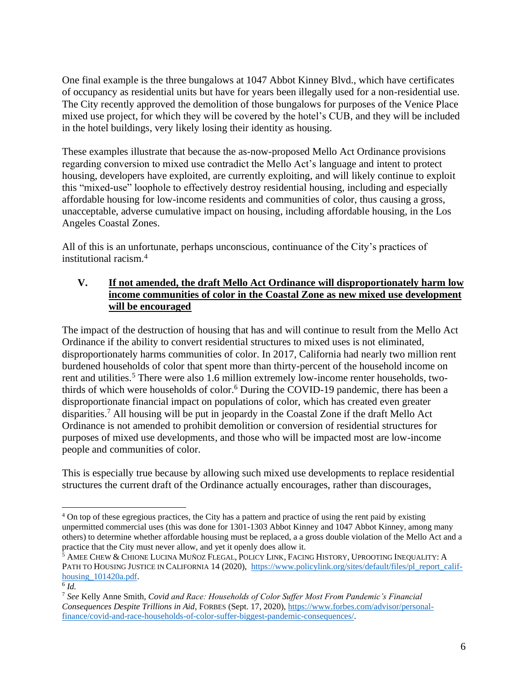One final example is the three bungalows at 1047 Abbot Kinney Blvd., which have certificates of occupancy as residential units but have for years been illegally used for a non-residential use. The City recently approved the demolition of those bungalows for purposes of the Venice Place mixed use project, for which they will be covered by the hotel's CUB, and they will be included in the hotel buildings, very likely losing their identity as housing.

These examples illustrate that because the as-now-proposed Mello Act Ordinance provisions regarding conversion to mixed use contradict the Mello Act's language and intent to protect housing, developers have exploited, are currently exploiting, and will likely continue to exploit this "mixed-use" loophole to effectively destroy residential housing, including and especially affordable housing for low-income residents and communities of color, thus causing a gross, unacceptable, adverse cumulative impact on housing, including affordable housing, in the Los Angeles Coastal Zones.

All of this is an unfortunate, perhaps unconscious, continuance of the City's practices of institutional racism.<sup>4</sup>

#### **V. If not amended, the draft Mello Act Ordinance will disproportionately harm low income communities of color in the Coastal Zone as new mixed use development will be encouraged**

The impact of the destruction of housing that has and will continue to result from the Mello Act Ordinance if the ability to convert residential structures to mixed uses is not eliminated, disproportionately harms communities of color. In 2017, California had nearly two million rent burdened households of color that spent more than thirty-percent of the household income on rent and utilities.<sup>5</sup> There were also 1.6 million extremely low-income renter households, twothirds of which were households of color.<sup>6</sup> During the COVID-19 pandemic, there has been a disproportionate financial impact on populations of color, which has created even greater disparities.<sup>7</sup> All housing will be put in jeopardy in the Coastal Zone if the draft Mello Act Ordinance is not amended to prohibit demolition or conversion of residential structures for purposes of mixed use developments, and those who will be impacted most are low-income people and communities of color.

This is especially true because by allowing such mixed use developments to replace residential structures the current draft of the Ordinance actually encourages, rather than discourages,

<sup>&</sup>lt;sup>4</sup> On top of these egregious practices, the City has a pattern and practice of using the rent paid by existing unpermitted commercial uses (this was done for 1301-1303 Abbot Kinney and 1047 Abbot Kinney, among many others) to determine whether affordable housing must be replaced, a a gross double violation of the Mello Act and a practice that the City must never allow, and yet it openly does allow it.

<sup>&</sup>lt;sup>5</sup> AMEE CHEW & CHIONE LUCINA MUÑOZ FLEGAL, POLICY LINK, FACING HISTORY, UPROOTING INEQUALITY: A PATH TO HOUSING JUSTICE IN CALIFORNIA 14 (2020), [https://www.policylink.org/sites/default/files/pl\\_report\\_calif](https://www.policylink.org/sites/default/files/pl_report_calif-housing_101420a.pdf)housing 101420a.pdf.

<sup>6</sup> *Id.*

<sup>7</sup> *See* Kelly Anne Smith, *Covid and Race: Households of Color Suffer Most From Pandemic's Financial Consequences Despite Trillions in Aid*, FORBES (Sept. 17, 2020), [https://www.forbes.com/advisor/personal](https://www.forbes.com/advisor/personal-finance/covid-and-race-households-of-color-suffer-biggest-pandemic-consequences/)[finance/covid-and-race-households-of-color-suffer-biggest-pandemic-consequences/.](https://www.forbes.com/advisor/personal-finance/covid-and-race-households-of-color-suffer-biggest-pandemic-consequences/)